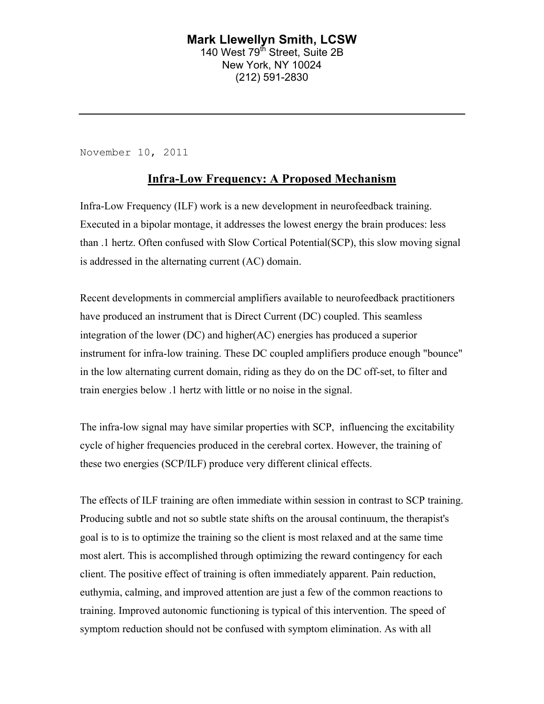### **Mark Llewellyn Smith, LCSW** 140 West 79<sup>th</sup> Street, Suite 2B New York, NY 10024 (212) 591-2830

November 10, 2011

## **Infra-Low Frequency: A Proposed Mechanism**

Infra-Low Frequency (ILF) work is a new development in neurofeedback training. Executed in a bipolar montage, it addresses the lowest energy the brain produces: less than .1 hertz. Often confused with Slow Cortical Potential(SCP), this slow moving signal is addressed in the alternating current (AC) domain.

Recent developments in commercial amplifiers available to neurofeedback practitioners have produced an instrument that is Direct Current (DC) coupled. This seamless integration of the lower (DC) and higher(AC) energies has produced a superior instrument for infra-low training. These DC coupled amplifiers produce enough "bounce" in the low alternating current domain, riding as they do on the DC off-set, to filter and train energies below .1 hertz with little or no noise in the signal.

The infra-low signal may have similar properties with SCP, influencing the excitability cycle of higher frequencies produced in the cerebral cortex. However, the training of these two energies (SCP/ILF) produce very different clinical effects.

The effects of ILF training are often immediate within session in contrast to SCP training. Producing subtle and not so subtle state shifts on the arousal continuum, the therapist's goal is to is to optimize the training so the client is most relaxed and at the same time most alert. This is accomplished through optimizing the reward contingency for each client. The positive effect of training is often immediately apparent. Pain reduction, euthymia, calming, and improved attention are just a few of the common reactions to training. Improved autonomic functioning is typical of this intervention. The speed of symptom reduction should not be confused with symptom elimination. As with all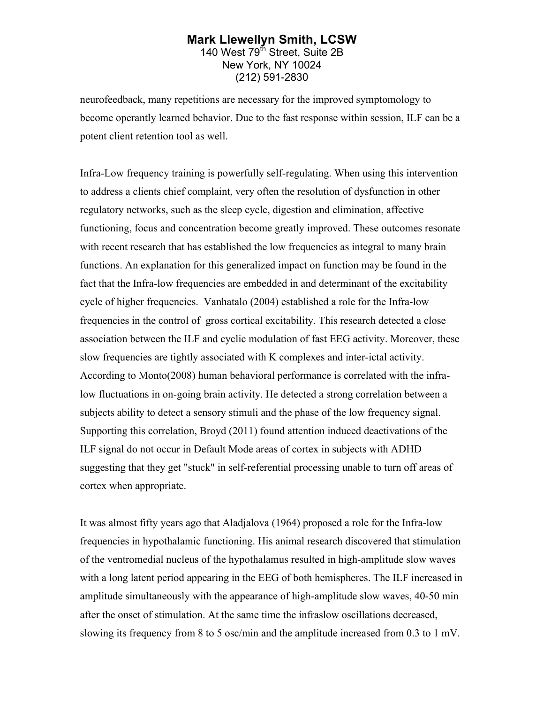#### **Mark Llewellyn Smith, LCSW** 140 West 79<sup>th</sup> Street, Suite 2B New York, NY 10024 (212) 591-2830

neurofeedback, many repetitions are necessary for the improved symptomology to become operantly learned behavior. Due to the fast response within session, ILF can be a potent client retention tool as well.

Infra-Low frequency training is powerfully self-regulating. When using this intervention to address a clients chief complaint, very often the resolution of dysfunction in other regulatory networks, such as the sleep cycle, digestion and elimination, affective functioning, focus and concentration become greatly improved. These outcomes resonate with recent research that has established the low frequencies as integral to many brain functions. An explanation for this generalized impact on function may be found in the fact that the Infra-low frequencies are embedded in and determinant of the excitability cycle of higher frequencies. Vanhatalo (2004) established a role for the Infra-low frequencies in the control of gross cortical excitability. This research detected a close association between the ILF and cyclic modulation of fast EEG activity. Moreover, these slow frequencies are tightly associated with K complexes and inter-ictal activity. According to Monto(2008) human behavioral performance is correlated with the infralow fluctuations in on-going brain activity. He detected a strong correlation between a subjects ability to detect a sensory stimuli and the phase of the low frequency signal. Supporting this correlation, Broyd (2011) found attention induced deactivations of the ILF signal do not occur in Default Mode areas of cortex in subjects with ADHD suggesting that they get "stuck" in self-referential processing unable to turn off areas of cortex when appropriate.

It was almost fifty years ago that Aladjalova (1964) proposed a role for the Infra-low frequencies in hypothalamic functioning. His animal research discovered that stimulation of the ventromedial nucleus of the hypothalamus resulted in high-amplitude slow waves with a long latent period appearing in the EEG of both hemispheres. The ILF increased in amplitude simultaneously with the appearance of high-amplitude slow waves, 40-50 min after the onset of stimulation. At the same time the infraslow oscillations decreased, slowing its frequency from 8 to 5 osc/min and the amplitude increased from 0.3 to 1 mV.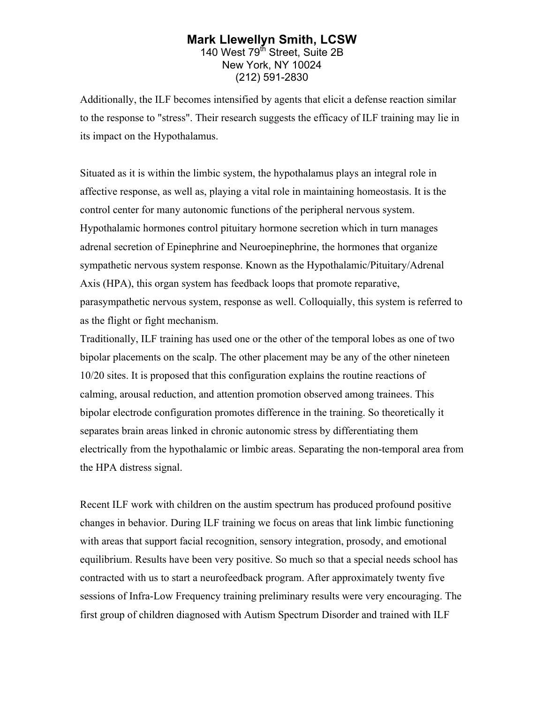#### **Mark Llewellyn Smith, LCSW** 140 West 79<sup>th</sup> Street, Suite 2B New York, NY 10024 (212) 591-2830

Additionally, the ILF becomes intensified by agents that elicit a defense reaction similar to the response to "stress". Their research suggests the efficacy of ILF training may lie in its impact on the Hypothalamus.

Situated as it is within the limbic system, the hypothalamus plays an integral role in affective response, as well as, playing a vital role in maintaining homeostasis. It is the control center for many autonomic functions of the peripheral nervous system. Hypothalamic hormones control pituitary hormone secretion which in turn manages adrenal secretion of Epinephrine and Neuroepinephrine, the hormones that organize sympathetic nervous system response. Known as the Hypothalamic/Pituitary/Adrenal Axis (HPA), this organ system has feedback loops that promote reparative, parasympathetic nervous system, response as well. Colloquially, this system is referred to as the flight or fight mechanism.

Traditionally, ILF training has used one or the other of the temporal lobes as one of two bipolar placements on the scalp. The other placement may be any of the other nineteen 10/20 sites. It is proposed that this configuration explains the routine reactions of calming, arousal reduction, and attention promotion observed among trainees. This bipolar electrode configuration promotes difference in the training. So theoretically it separates brain areas linked in chronic autonomic stress by differentiating them electrically from the hypothalamic or limbic areas. Separating the non-temporal area from the HPA distress signal.

Recent ILF work with children on the austim spectrum has produced profound positive changes in behavior. During ILF training we focus on areas that link limbic functioning with areas that support facial recognition, sensory integration, prosody, and emotional equilibrium. Results have been very positive. So much so that a special needs school has contracted with us to start a neurofeedback program. After approximately twenty five sessions of Infra-Low Frequency training preliminary results were very encouraging. The first group of children diagnosed with Autism Spectrum Disorder and trained with ILF